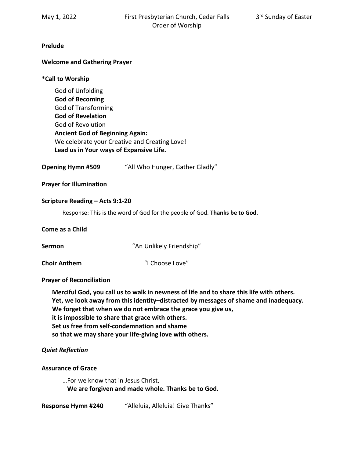# **Prelude**

# **Welcome and Gathering Prayer**

# **\*Call to Worship**

God of Unfolding **God of Becoming** God of Transforming **God of Revelation** God of Revolution **Ancient God of Beginning Again:** We celebrate your Creative and Creating Love! **Lead us in Your ways of Expansive Life.**

**Opening Hymn #509** "All Who Hunger, Gather Gladly"

**Prayer for Illumination** 

#### **Scripture Reading – Acts 9:1-20**

Response: This is the word of God for the people of God. **Thanks be to God.**

#### **Come as a Child**

**Sermon "An Unlikely Friendship"** 

**Choir Anthem** (1) Choose Love"

# **Prayer of Reconciliation**

**Merciful God, you call us to walk in newness of life and to share this life with others. Yet, we look away from this identity–distracted by messages of shame and inadequacy. We forget that when we do not embrace the grace you give us, it is impossible to share that grace with others. Set us free from self-condemnation and shame so that we may share your life-giving love with others.**

# *Quiet Reflection*

# **Assurance of Grace**

…For we know that in Jesus Christ,  **We are forgiven and made whole. Thanks be to God.**

**Response Hymn #240** "Alleluia, Alleluia! Give Thanks"